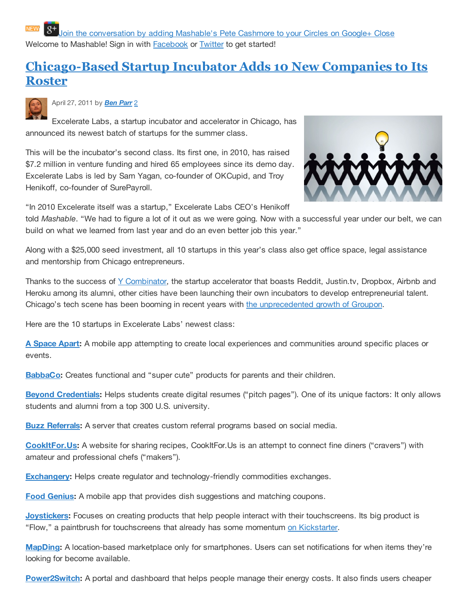Join the conversation by adding Mashable's Pete Cashmore to your Circles on Google+ Close Welcome to Mashable! Sign in with Facebook or Twitter to get started!

## **Chicago-Based Startup Incubator Adds 10 New Companies to Its Roster**



April 27, 2011 by *Ben Parr* 2

Excelerate Labs, a startup incubator and accelerator in Chicago, has announced its newest batch of startups for the summer class.

This will be the incubator's second class. Its first one, in 2010, has raised \$7.2 million in venture funding and hired 65 employees since its demo day. Excelerate Labs is led by Sam Yagan, co-founder of OKCupid, and Troy Henikoff, co-founder of SurePayroll.



"In 2010 Excelerate itself was a startup," Excelerate Labs CEO's Henikoff

told *Mashable*. "We had to figure a lot of it out as we were going. Now with a successful year under our belt, we can build on what we learned from last year and do an even better job this year."

Along with a \$25,000 seed investment, all 10 startups in this year's class also get office space, legal assistance and mentorship from Chicago entrepreneurs.

Thanks to the success of Y Combinator, the startup accelerator that boasts Reddit, Justin.tv, Dropbox, Airbnb and Heroku among its alumni, other cities have been launching their own incubators to develop entrepreneurial talent. Chicago's tech scene has been booming in recent years with the unprecedented growth of Groupon.

Here are the 10 startups in Excelerate Labs' newest class:

**A Space Apart:** A mobile app attempting to create local experiences and communities around specific places or events.

**BabbaCo:** Creates functional and "super cute" products for parents and their children.

**Beyond Credentials:** Helps students create digital resumes ("pitch pages"). One of its unique factors: It only allows students and alumni from a top 300 U.S. university.

**Buzz Referrals:** A server that creates custom referral programs based on social media.

**CookItFor.Us:** A website for sharing recipes, CookItFor.Us is an attempt to connect fine diners ("cravers") with amateur and professional chefs ("makers").

**Exchangery:** Helps create regulator and technology-friendly commodities exchanges.

**Food Genius:** A mobile app that provides dish suggestions and matching coupons.

**Joystickers:** Focuses on creating products that help people interact with their touchscreens. Its big product is "Flow," a paintbrush for touchscreens that already has some momentum on Kickstarter.

**MapDing:** A location-based marketplace only for smartphones. Users can set notifications for when items they're looking for become available.

**Power2Switch:** A portal and dashboard that helps people manage their energy costs. It also finds users cheaper